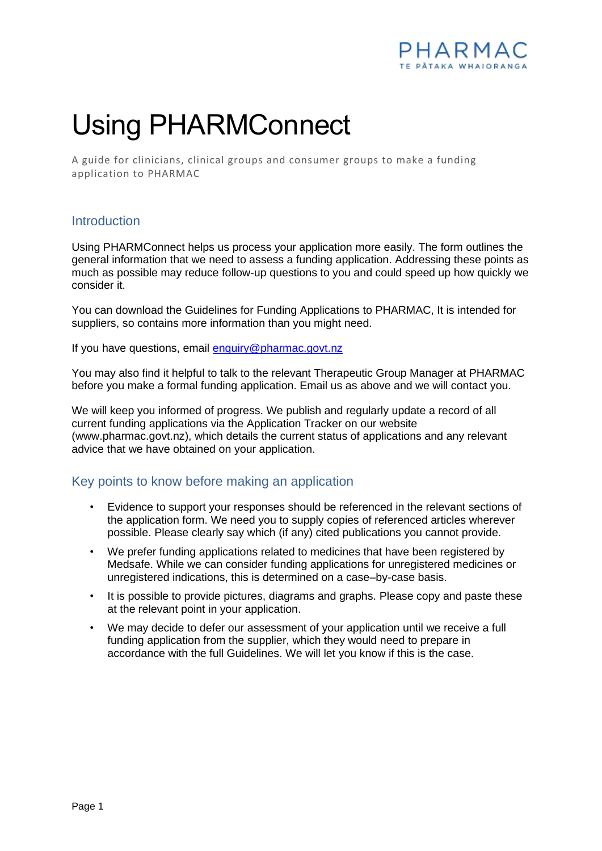

## Using PHARMConnect

A guide for clinicians, clinical groups and consumer groups to make a funding application to PHARMAC

## **Introduction**

Using PHARMConnect helps us process your application more easily. The form outlines the general information that we need to assess a funding application. Addressing these points as much as possible may reduce follow-up questions to you and could speed up how quickly we consider it.

You can download the Guidelines for Funding Applications to PHARMAC, It is intended for suppliers, so contains more information than you might need.

If you have questions, email [enquiry@pharmac.govt.nz](mailto:enquiry@pharmac.govt.nz)

You may also find it helpful to talk to the relevant Therapeutic Group Manager at PHARMAC before you make a formal funding application. Email us as above and we will contact you.

We will keep you informed of progress. We publish and regularly update a record of all current funding applications via the Application Tracker on our website (www.pharmac.govt.nz), which details the current status of applications and any relevant advice that we have obtained on your application.

## Key points to know before making an application

- Evidence to support your responses should be referenced in the relevant sections of the application form. We need you to supply copies of referenced articles wherever possible. Please clearly say which (if any) cited publications you cannot provide.
- We prefer funding applications related to medicines that have been registered by Medsafe. While we can consider funding applications for unregistered medicines or unregistered indications, this is determined on a case–by-case basis.
- It is possible to provide pictures, diagrams and graphs. Please copy and paste these at the relevant point in your application.
- We may decide to defer our assessment of your application until we receive a full funding application from the supplier, which they would need to prepare in accordance with the full Guidelines. We will let you know if this is the case.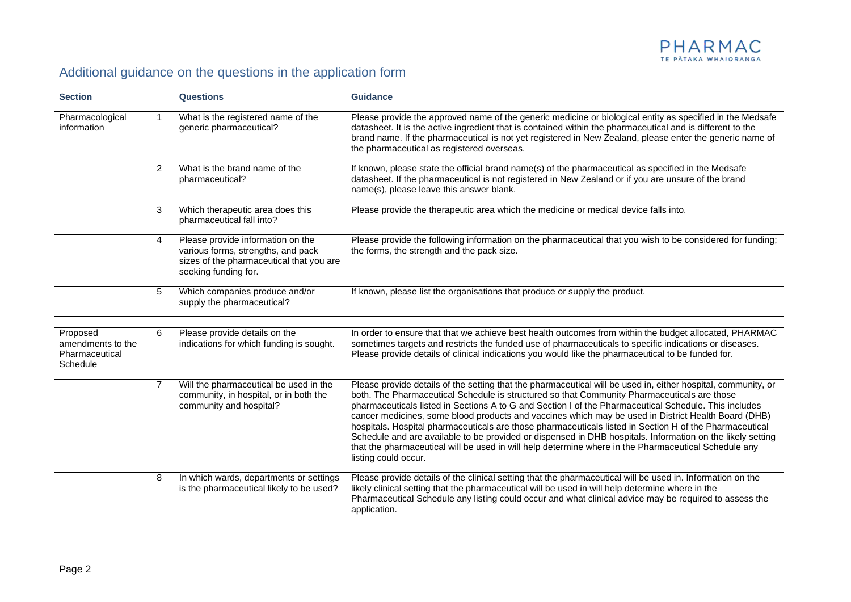

## Additional guidance on the questions in the application form

| <b>Section</b>                                              |                | <b>Questions</b>                                                                                                                            | <b>Guidance</b>                                                                                                                                                                                                                                                                                                                                                                                                                                                                                                                                                                                                                                                                                                                                                                       |
|-------------------------------------------------------------|----------------|---------------------------------------------------------------------------------------------------------------------------------------------|---------------------------------------------------------------------------------------------------------------------------------------------------------------------------------------------------------------------------------------------------------------------------------------------------------------------------------------------------------------------------------------------------------------------------------------------------------------------------------------------------------------------------------------------------------------------------------------------------------------------------------------------------------------------------------------------------------------------------------------------------------------------------------------|
| Pharmacological<br>information                              | $\mathbf{1}$   | What is the registered name of the<br>generic pharmaceutical?                                                                               | Please provide the approved name of the generic medicine or biological entity as specified in the Medsafe<br>datasheet. It is the active ingredient that is contained within the pharmaceutical and is different to the<br>brand name. If the pharmaceutical is not yet registered in New Zealand, please enter the generic name of<br>the pharmaceutical as registered overseas.                                                                                                                                                                                                                                                                                                                                                                                                     |
|                                                             | 2              | What is the brand name of the<br>pharmaceutical?                                                                                            | If known, please state the official brand name(s) of the pharmaceutical as specified in the Medsafe<br>datasheet. If the pharmaceutical is not registered in New Zealand or if you are unsure of the brand<br>name(s), please leave this answer blank.                                                                                                                                                                                                                                                                                                                                                                                                                                                                                                                                |
|                                                             | 3              | Which therapeutic area does this<br>pharmaceutical fall into?                                                                               | Please provide the therapeutic area which the medicine or medical device falls into.                                                                                                                                                                                                                                                                                                                                                                                                                                                                                                                                                                                                                                                                                                  |
|                                                             | $\overline{4}$ | Please provide information on the<br>various forms, strengths, and pack<br>sizes of the pharmaceutical that you are<br>seeking funding for. | Please provide the following information on the pharmaceutical that you wish to be considered for funding;<br>the forms, the strength and the pack size.                                                                                                                                                                                                                                                                                                                                                                                                                                                                                                                                                                                                                              |
|                                                             | 5              | Which companies produce and/or<br>supply the pharmaceutical?                                                                                | If known, please list the organisations that produce or supply the product.                                                                                                                                                                                                                                                                                                                                                                                                                                                                                                                                                                                                                                                                                                           |
| Proposed<br>amendments to the<br>Pharmaceutical<br>Schedule | 6              | Please provide details on the<br>indications for which funding is sought.                                                                   | In order to ensure that that we achieve best health outcomes from within the budget allocated, PHARMAC<br>sometimes targets and restricts the funded use of pharmaceuticals to specific indications or diseases.<br>Please provide details of clinical indications you would like the pharmaceutical to be funded for.                                                                                                                                                                                                                                                                                                                                                                                                                                                                |
|                                                             | $\overline{7}$ | Will the pharmaceutical be used in the<br>community, in hospital, or in both the<br>community and hospital?                                 | Please provide details of the setting that the pharmaceutical will be used in, either hospital, community, or<br>both. The Pharmaceutical Schedule is structured so that Community Pharmaceuticals are those<br>pharmaceuticals listed in Sections A to G and Section I of the Pharmaceutical Schedule. This includes<br>cancer medicines, some blood products and vaccines which may be used in District Health Board (DHB)<br>hospitals. Hospital pharmaceuticals are those pharmaceuticals listed in Section H of the Pharmaceutical<br>Schedule and are available to be provided or dispensed in DHB hospitals. Information on the likely setting<br>that the pharmaceutical will be used in will help determine where in the Pharmaceutical Schedule any<br>listing could occur. |
|                                                             | 8              | In which wards, departments or settings<br>is the pharmaceutical likely to be used?                                                         | Please provide details of the clinical setting that the pharmaceutical will be used in. Information on the<br>likely clinical setting that the pharmaceutical will be used in will help determine where in the<br>Pharmaceutical Schedule any listing could occur and what clinical advice may be required to assess the<br>application.                                                                                                                                                                                                                                                                                                                                                                                                                                              |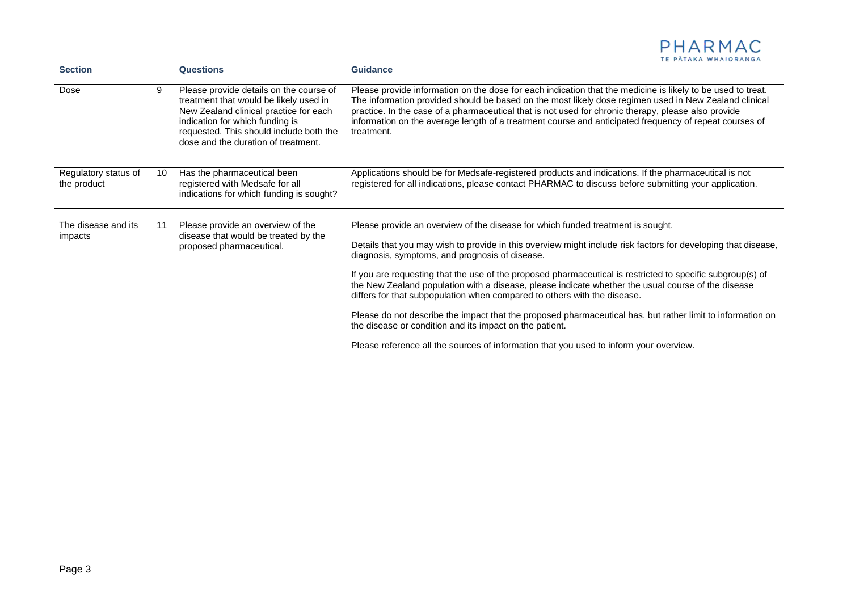| <b>Section</b>                      |    | Questions                                                                                                                                                                                                                                        | TE PATAKA WHAIORANGA<br>Guidance                                                                                                                                                                                                                                                                                                                                                                                                                    |
|-------------------------------------|----|--------------------------------------------------------------------------------------------------------------------------------------------------------------------------------------------------------------------------------------------------|-----------------------------------------------------------------------------------------------------------------------------------------------------------------------------------------------------------------------------------------------------------------------------------------------------------------------------------------------------------------------------------------------------------------------------------------------------|
| Dose                                | 9  | Please provide details on the course of<br>treatment that would be likely used in<br>New Zealand clinical practice for each<br>indication for which funding is<br>requested. This should include both the<br>dose and the duration of treatment. | Please provide information on the dose for each indication that the medicine is likely to be used to treat.<br>The information provided should be based on the most likely dose regimen used in New Zealand clinical<br>practice. In the case of a pharmaceutical that is not used for chronic therapy, please also provide<br>information on the average length of a treatment course and anticipated frequency of repeat courses of<br>treatment. |
| Regulatory status of<br>the product | 10 | Has the pharmaceutical been<br>registered with Medsafe for all<br>indications for which funding is sought?                                                                                                                                       | Applications should be for Medsafe-registered products and indications. If the pharmaceutical is not<br>registered for all indications, please contact PHARMAC to discuss before submitting your application.                                                                                                                                                                                                                                       |
| The disease and its                 | 11 | Please provide an overview of the                                                                                                                                                                                                                | Please provide an overview of the disease for which funded treatment is sought.                                                                                                                                                                                                                                                                                                                                                                     |
| impacts                             |    | disease that would be treated by the<br>proposed pharmaceutical.                                                                                                                                                                                 |                                                                                                                                                                                                                                                                                                                                                                                                                                                     |
|                                     |    |                                                                                                                                                                                                                                                  | Details that you may wish to provide in this overview might include risk factors for developing that disease,<br>diagnosis, symptoms, and prognosis of disease.                                                                                                                                                                                                                                                                                     |
|                                     |    |                                                                                                                                                                                                                                                  | If you are requesting that the use of the proposed pharmaceutical is restricted to specific subgroup(s) of<br>the New Zealand population with a disease, please indicate whether the usual course of the disease<br>differs for that subpopulation when compared to others with the disease.                                                                                                                                                        |
|                                     |    |                                                                                                                                                                                                                                                  | Please do not describe the impact that the proposed pharmaceutical has, but rather limit to information on<br>the disease or condition and its impact on the patient.                                                                                                                                                                                                                                                                               |
|                                     |    |                                                                                                                                                                                                                                                  | Please reference all the sources of information that you used to inform your overview.                                                                                                                                                                                                                                                                                                                                                              |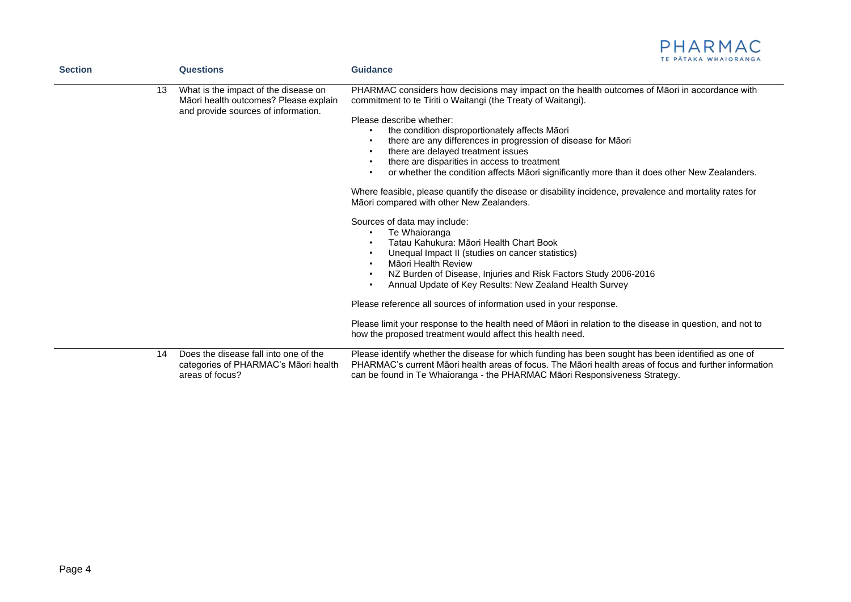|                |    | <b>Questions</b>                                                                                                     | PHARMAC<br>TE PĂTAKA WHAIORANGA<br><b>Guidance</b>                                                                                                                                                                                                                                                                                                                                                                                                                                                                                                                                                                                                                                                                                                                                                         |
|----------------|----|----------------------------------------------------------------------------------------------------------------------|------------------------------------------------------------------------------------------------------------------------------------------------------------------------------------------------------------------------------------------------------------------------------------------------------------------------------------------------------------------------------------------------------------------------------------------------------------------------------------------------------------------------------------------------------------------------------------------------------------------------------------------------------------------------------------------------------------------------------------------------------------------------------------------------------------|
| <b>Section</b> | 13 | What is the impact of the disease on<br>Māori health outcomes? Please explain<br>and provide sources of information. | PHARMAC considers how decisions may impact on the health outcomes of Māori in accordance with<br>commitment to te Tiriti o Waitangi (the Treaty of Waitangi).<br>Please describe whether:<br>the condition disproportionately affects Māori<br>there are any differences in progression of disease for Maori<br>there are delayed treatment issues<br>there are disparities in access to treatment<br>or whether the condition affects Māori significantly more than it does other New Zealanders.<br>Where feasible, please quantify the disease or disability incidence, prevalence and mortality rates for<br>Māori compared with other New Zealanders.<br>Sources of data may include:<br>Te Whaioranga<br>Tatau Kahukura: Māori Health Chart Book<br>Unequal Impact II (studies on cancer statistics) |
|                |    |                                                                                                                      | Māori Health Review<br>NZ Burden of Disease, Injuries and Risk Factors Study 2006-2016<br>Annual Update of Key Results: New Zealand Health Survey<br>Please reference all sources of information used in your response.                                                                                                                                                                                                                                                                                                                                                                                                                                                                                                                                                                                    |
|                |    |                                                                                                                      | Please limit your response to the health need of Māori in relation to the disease in question, and not to<br>how the proposed treatment would affect this health need.                                                                                                                                                                                                                                                                                                                                                                                                                                                                                                                                                                                                                                     |
|                | 14 | Does the disease fall into one of the<br>categories of PHARMAC's Māori health<br>areas of focus?                     | Please identify whether the disease for which funding has been sought has been identified as one of<br>PHARMAC's current Māori health areas of focus. The Māori health areas of focus and further information<br>can be found in Te Whaioranga - the PHARMAC Māori Responsiveness Strategy.                                                                                                                                                                                                                                                                                                                                                                                                                                                                                                                |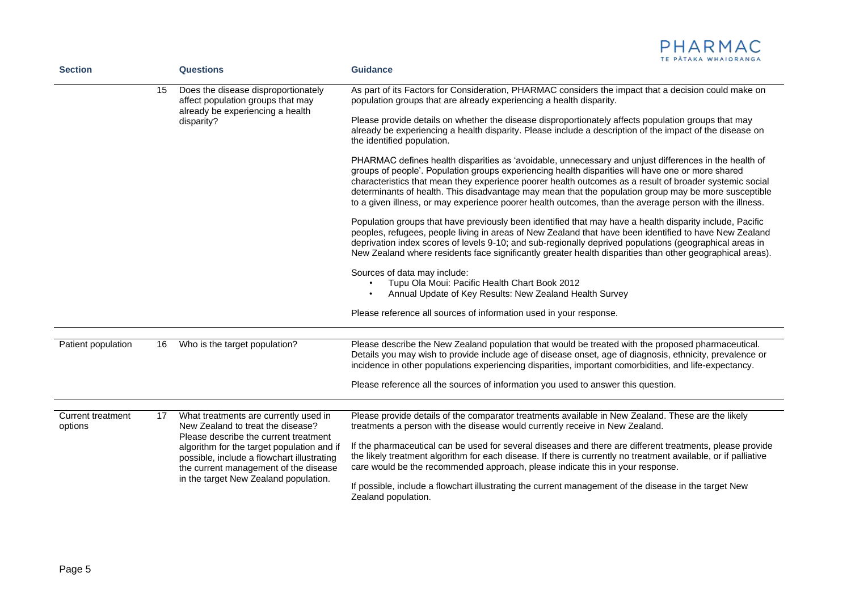|                                     |    |                                                                                                                                                                                                                                                                                                   | TE PATAKA WHAIORANGA                                                                                                                                                                                                                                                                                                                                                                                                                                                                                                                     |
|-------------------------------------|----|---------------------------------------------------------------------------------------------------------------------------------------------------------------------------------------------------------------------------------------------------------------------------------------------------|------------------------------------------------------------------------------------------------------------------------------------------------------------------------------------------------------------------------------------------------------------------------------------------------------------------------------------------------------------------------------------------------------------------------------------------------------------------------------------------------------------------------------------------|
| <b>Section</b>                      |    | <b>Questions</b>                                                                                                                                                                                                                                                                                  | <b>Guidance</b>                                                                                                                                                                                                                                                                                                                                                                                                                                                                                                                          |
|                                     | 15 | Does the disease disproportionately<br>affect population groups that may<br>already be experiencing a health<br>disparity?                                                                                                                                                                        | As part of its Factors for Consideration, PHARMAC considers the impact that a decision could make on<br>population groups that are already experiencing a health disparity.                                                                                                                                                                                                                                                                                                                                                              |
|                                     |    |                                                                                                                                                                                                                                                                                                   | Please provide details on whether the disease disproportionately affects population groups that may<br>already be experiencing a health disparity. Please include a description of the impact of the disease on<br>the identified population.                                                                                                                                                                                                                                                                                            |
|                                     |    |                                                                                                                                                                                                                                                                                                   | PHARMAC defines health disparities as 'avoidable, unnecessary and unjust differences in the health of<br>groups of people'. Population groups experiencing health disparities will have one or more shared<br>characteristics that mean they experience poorer health outcomes as a result of broader systemic social<br>determinants of health. This disadvantage may mean that the population group may be more susceptible<br>to a given illness, or may experience poorer health outcomes, than the average person with the illness. |
|                                     |    |                                                                                                                                                                                                                                                                                                   | Population groups that have previously been identified that may have a health disparity include, Pacific<br>peoples, refugees, people living in areas of New Zealand that have been identified to have New Zealand<br>deprivation index scores of levels 9-10; and sub-regionally deprived populations (geographical areas in<br>New Zealand where residents face significantly greater health disparities than other geographical areas).                                                                                               |
|                                     |    |                                                                                                                                                                                                                                                                                                   | Sources of data may include:<br>Tupu Ola Moui: Pacific Health Chart Book 2012<br>$\bullet$<br>Annual Update of Key Results: New Zealand Health Survey                                                                                                                                                                                                                                                                                                                                                                                    |
|                                     |    |                                                                                                                                                                                                                                                                                                   | Please reference all sources of information used in your response.                                                                                                                                                                                                                                                                                                                                                                                                                                                                       |
|                                     |    |                                                                                                                                                                                                                                                                                                   |                                                                                                                                                                                                                                                                                                                                                                                                                                                                                                                                          |
| Patient population                  | 16 | Who is the target population?                                                                                                                                                                                                                                                                     | Please describe the New Zealand population that would be treated with the proposed pharmaceutical.<br>Details you may wish to provide include age of disease onset, age of diagnosis, ethnicity, prevalence or<br>incidence in other populations experiencing disparities, important comorbidities, and life-expectancy.                                                                                                                                                                                                                 |
|                                     |    |                                                                                                                                                                                                                                                                                                   | Please reference all the sources of information you used to answer this question.                                                                                                                                                                                                                                                                                                                                                                                                                                                        |
|                                     |    |                                                                                                                                                                                                                                                                                                   |                                                                                                                                                                                                                                                                                                                                                                                                                                                                                                                                          |
| <b>Current treatment</b><br>options | 17 | What treatments are currently used in<br>New Zealand to treat the disease?<br>Please describe the current treatment<br>algorithm for the target population and if<br>possible, include a flowchart illustrating<br>the current management of the disease<br>in the target New Zealand population. | Please provide details of the comparator treatments available in New Zealand. These are the likely<br>treatments a person with the disease would currently receive in New Zealand.                                                                                                                                                                                                                                                                                                                                                       |
|                                     |    |                                                                                                                                                                                                                                                                                                   | If the pharmaceutical can be used for several diseases and there are different treatments, please provide<br>the likely treatment algorithm for each disease. If there is currently no treatment available, or if palliative<br>care would be the recommended approach, please indicate this in your response.                                                                                                                                                                                                                           |
|                                     |    |                                                                                                                                                                                                                                                                                                   | If possible, include a flowchart illustrating the current management of the disease in the target New<br>Zealand population.                                                                                                                                                                                                                                                                                                                                                                                                             |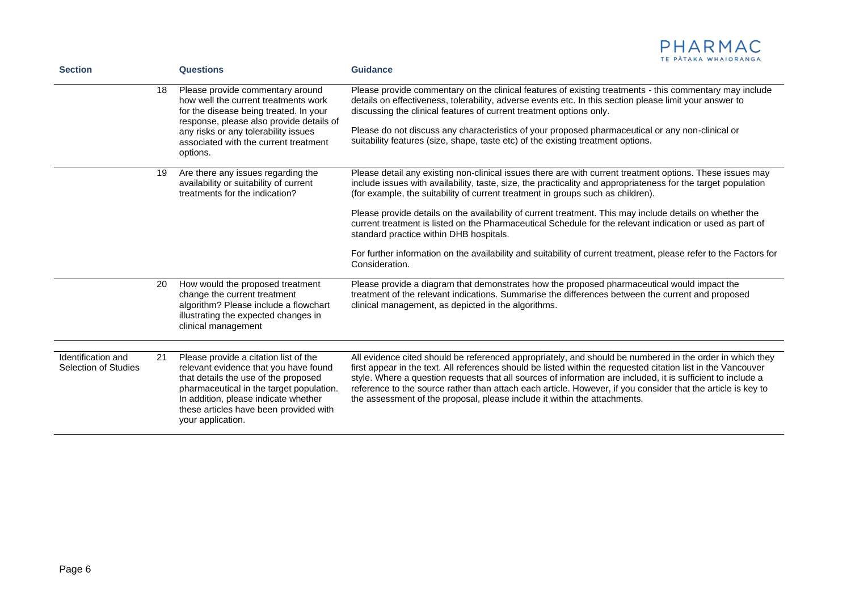

| <b>Section</b>                                    |    | <b>Questions</b>                                                                                                                                                                                                                                                          | <b>Guidance</b>                                                                                                                                                                                                                                                                                                                                                                                                                                                                                                                        |
|---------------------------------------------------|----|---------------------------------------------------------------------------------------------------------------------------------------------------------------------------------------------------------------------------------------------------------------------------|----------------------------------------------------------------------------------------------------------------------------------------------------------------------------------------------------------------------------------------------------------------------------------------------------------------------------------------------------------------------------------------------------------------------------------------------------------------------------------------------------------------------------------------|
|                                                   | 18 | Please provide commentary around<br>how well the current treatments work<br>for the disease being treated. In your<br>response, please also provide details of<br>any risks or any tolerability issues<br>associated with the current treatment<br>options.               | Please provide commentary on the clinical features of existing treatments - this commentary may include<br>details on effectiveness, tolerability, adverse events etc. In this section please limit your answer to<br>discussing the clinical features of current treatment options only.<br>Please do not discuss any characteristics of your proposed pharmaceutical or any non-clinical or<br>suitability features (size, shape, taste etc) of the existing treatment options.                                                      |
|                                                   | 19 | Are there any issues regarding the<br>availability or suitability of current<br>treatments for the indication?                                                                                                                                                            | Please detail any existing non-clinical issues there are with current treatment options. These issues may<br>include issues with availability, taste, size, the practicality and appropriateness for the target population<br>(for example, the suitability of current treatment in groups such as children).                                                                                                                                                                                                                          |
|                                                   |    |                                                                                                                                                                                                                                                                           | Please provide details on the availability of current treatment. This may include details on whether the<br>current treatment is listed on the Pharmaceutical Schedule for the relevant indication or used as part of<br>standard practice within DHB hospitals.                                                                                                                                                                                                                                                                       |
|                                                   |    |                                                                                                                                                                                                                                                                           | For further information on the availability and suitability of current treatment, please refer to the Factors for<br>Consideration.                                                                                                                                                                                                                                                                                                                                                                                                    |
|                                                   | 20 | How would the proposed treatment<br>change the current treatment<br>algorithm? Please include a flowchart<br>illustrating the expected changes in<br>clinical management                                                                                                  | Please provide a diagram that demonstrates how the proposed pharmaceutical would impact the<br>treatment of the relevant indications. Summarise the differences between the current and proposed<br>clinical management, as depicted in the algorithms.                                                                                                                                                                                                                                                                                |
| Identification and<br><b>Selection of Studies</b> | 21 | Please provide a citation list of the<br>relevant evidence that you have found<br>that details the use of the proposed<br>pharmaceutical in the target population.<br>In addition, please indicate whether<br>these articles have been provided with<br>your application. | All evidence cited should be referenced appropriately, and should be numbered in the order in which they<br>first appear in the text. All references should be listed within the requested citation list in the Vancouver<br>style. Where a question requests that all sources of information are included, it is sufficient to include a<br>reference to the source rather than attach each article. However, if you consider that the article is key to<br>the assessment of the proposal, please include it within the attachments. |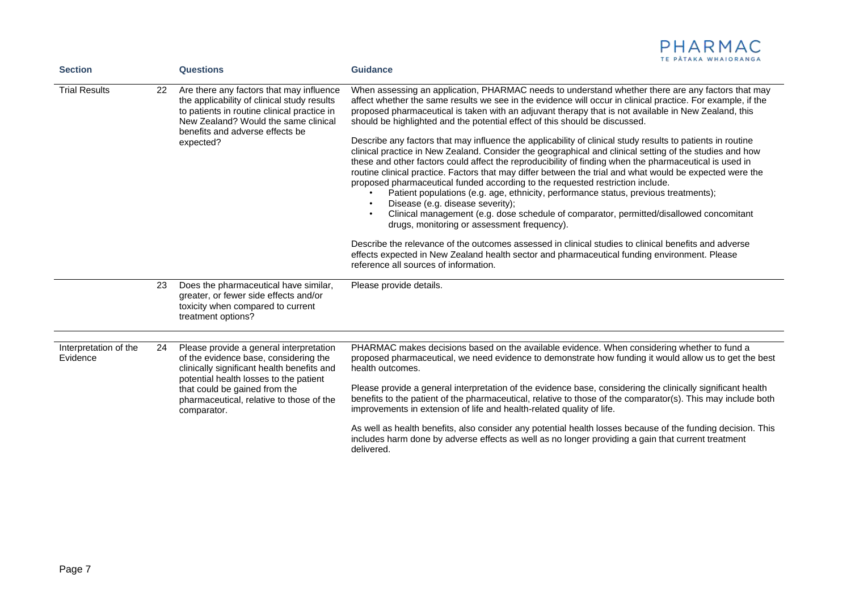|                                                                                                                                                                                                                                                                      | <b>Guidance</b>                                                                                                                                                                                                                                                                                                                                                                                                                                                                                                                                                                                                                                                                                                                                                                                                                                                                                                                                                                                                                                                                                                                                                                                                                                                                                                                                                                                                                                                |
|----------------------------------------------------------------------------------------------------------------------------------------------------------------------------------------------------------------------------------------------------------------------|----------------------------------------------------------------------------------------------------------------------------------------------------------------------------------------------------------------------------------------------------------------------------------------------------------------------------------------------------------------------------------------------------------------------------------------------------------------------------------------------------------------------------------------------------------------------------------------------------------------------------------------------------------------------------------------------------------------------------------------------------------------------------------------------------------------------------------------------------------------------------------------------------------------------------------------------------------------------------------------------------------------------------------------------------------------------------------------------------------------------------------------------------------------------------------------------------------------------------------------------------------------------------------------------------------------------------------------------------------------------------------------------------------------------------------------------------------------|
| Are there any factors that may influence<br>the applicability of clinical study results<br>to patients in routine clinical practice in<br>New Zealand? Would the same clinical<br>benefits and adverse effects be<br>expected?                                       | When assessing an application, PHARMAC needs to understand whether there are any factors that may<br>affect whether the same results we see in the evidence will occur in clinical practice. For example, if the<br>proposed pharmaceutical is taken with an adjuvant therapy that is not available in New Zealand, this<br>should be highlighted and the potential effect of this should be discussed.<br>Describe any factors that may influence the applicability of clinical study results to patients in routine<br>clinical practice in New Zealand. Consider the geographical and clinical setting of the studies and how<br>these and other factors could affect the reproducibility of finding when the pharmaceutical is used in<br>routine clinical practice. Factors that may differ between the trial and what would be expected were the<br>proposed pharmaceutical funded according to the requested restriction include.<br>Patient populations (e.g. age, ethnicity, performance status, previous treatments);<br>Disease (e.g. disease severity);<br>Clinical management (e.g. dose schedule of comparator, permitted/disallowed concomitant<br>drugs, monitoring or assessment frequency).<br>Describe the relevance of the outcomes assessed in clinical studies to clinical benefits and adverse<br>effects expected in New Zealand health sector and pharmaceutical funding environment. Please<br>reference all sources of information. |
| Does the pharmaceutical have similar,<br>greater, or fewer side effects and/or<br>toxicity when compared to current<br>treatment options?                                                                                                                            | Please provide details.                                                                                                                                                                                                                                                                                                                                                                                                                                                                                                                                                                                                                                                                                                                                                                                                                                                                                                                                                                                                                                                                                                                                                                                                                                                                                                                                                                                                                                        |
| Please provide a general interpretation<br>of the evidence base, considering the<br>clinically significant health benefits and<br>potential health losses to the patient<br>that could be gained from the<br>pharmaceutical, relative to those of the<br>comparator. | PHARMAC makes decisions based on the available evidence. When considering whether to fund a<br>proposed pharmaceutical, we need evidence to demonstrate how funding it would allow us to get the best<br>health outcomes.<br>Please provide a general interpretation of the evidence base, considering the clinically significant health<br>benefits to the patient of the pharmaceutical, relative to those of the comparator(s). This may include both<br>improvements in extension of life and health-related quality of life.<br>As well as health benefits, also consider any potential health losses because of the funding decision. This<br>includes harm done by adverse effects as well as no longer providing a gain that current treatment<br>delivered.                                                                                                                                                                                                                                                                                                                                                                                                                                                                                                                                                                                                                                                                                           |
|                                                                                                                                                                                                                                                                      | <b>Questions</b><br>22<br>23<br>24                                                                                                                                                                                                                                                                                                                                                                                                                                                                                                                                                                                                                                                                                                                                                                                                                                                                                                                                                                                                                                                                                                                                                                                                                                                                                                                                                                                                                             |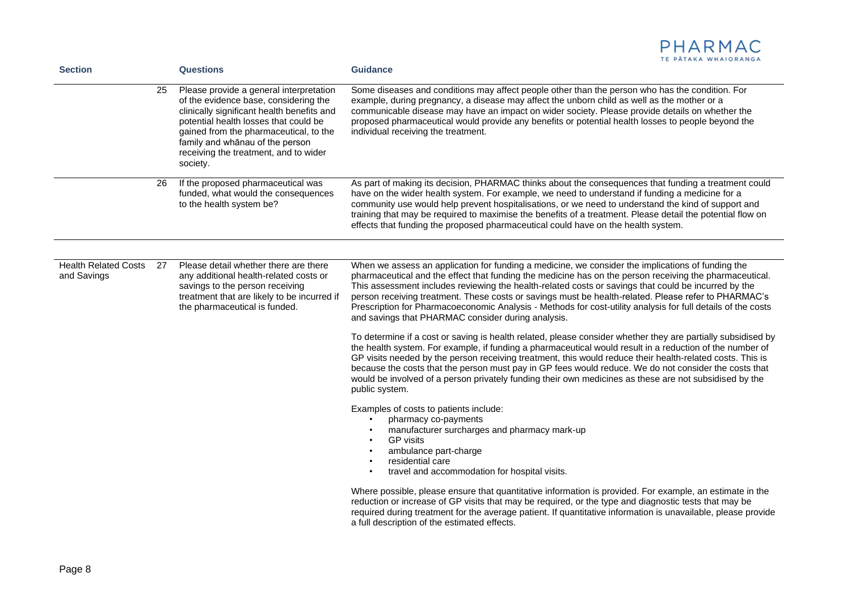| PHARMAC              |  |  |
|----------------------|--|--|
| TE PĂTAKA WHAIORANGA |  |  |

|     | <b>Questions</b>                                                                                                                                                                                                                                                                                          | <b>Guidance</b>                                                                                                                                                                                                                                                                                                                                                                                                                                                                                                                                                                                                                                                                                                                                                                                                                                                                                                                                                                                                                                                                                                                                                                                                                                                                                                                                                                                                                                                                                                                                                                                                                           |
|-----|-----------------------------------------------------------------------------------------------------------------------------------------------------------------------------------------------------------------------------------------------------------------------------------------------------------|-------------------------------------------------------------------------------------------------------------------------------------------------------------------------------------------------------------------------------------------------------------------------------------------------------------------------------------------------------------------------------------------------------------------------------------------------------------------------------------------------------------------------------------------------------------------------------------------------------------------------------------------------------------------------------------------------------------------------------------------------------------------------------------------------------------------------------------------------------------------------------------------------------------------------------------------------------------------------------------------------------------------------------------------------------------------------------------------------------------------------------------------------------------------------------------------------------------------------------------------------------------------------------------------------------------------------------------------------------------------------------------------------------------------------------------------------------------------------------------------------------------------------------------------------------------------------------------------------------------------------------------------|
| 25  | Please provide a general interpretation<br>of the evidence base, considering the<br>clinically significant health benefits and<br>potential health losses that could be<br>gained from the pharmaceutical, to the<br>family and whānau of the person<br>receiving the treatment, and to wider<br>society. | Some diseases and conditions may affect people other than the person who has the condition. For<br>example, during pregnancy, a disease may affect the unborn child as well as the mother or a<br>communicable disease may have an impact on wider society. Please provide details on whether the<br>proposed pharmaceutical would provide any benefits or potential health losses to people beyond the<br>individual receiving the treatment.                                                                                                                                                                                                                                                                                                                                                                                                                                                                                                                                                                                                                                                                                                                                                                                                                                                                                                                                                                                                                                                                                                                                                                                            |
| 26  | If the proposed pharmaceutical was<br>funded, what would the consequences<br>to the health system be?                                                                                                                                                                                                     | As part of making its decision, PHARMAC thinks about the consequences that funding a treatment could<br>have on the wider health system. For example, we need to understand if funding a medicine for a<br>community use would help prevent hospitalisations, or we need to understand the kind of support and<br>training that may be required to maximise the benefits of a treatment. Please detail the potential flow on<br>effects that funding the proposed pharmaceutical could have on the health system.                                                                                                                                                                                                                                                                                                                                                                                                                                                                                                                                                                                                                                                                                                                                                                                                                                                                                                                                                                                                                                                                                                                         |
| -27 | Please detail whether there are there<br>any additional health-related costs or<br>savings to the person receiving<br>treatment that are likely to be incurred if<br>the pharmaceutical is funded.                                                                                                        | When we assess an application for funding a medicine, we consider the implications of funding the<br>pharmaceutical and the effect that funding the medicine has on the person receiving the pharmaceutical.<br>This assessment includes reviewing the health-related costs or savings that could be incurred by the<br>person receiving treatment. These costs or savings must be health-related. Please refer to PHARMAC's<br>Prescription for Pharmacoeconomic Analysis - Methods for cost-utility analysis for full details of the costs<br>and savings that PHARMAC consider during analysis.<br>To determine if a cost or saving is health related, please consider whether they are partially subsidised by<br>the health system. For example, if funding a pharmaceutical would result in a reduction of the number of<br>GP visits needed by the person receiving treatment, this would reduce their health-related costs. This is<br>because the costs that the person must pay in GP fees would reduce. We do not consider the costs that<br>would be involved of a person privately funding their own medicines as these are not subsidised by the<br>public system.<br>Examples of costs to patients include:<br>pharmacy co-payments<br>manufacturer surcharges and pharmacy mark-up<br><b>GP</b> visits<br>ambulance part-charge<br>residential care<br>travel and accommodation for hospital visits.<br>Where possible, please ensure that quantitative information is provided. For example, an estimate in the<br>reduction or increase of GP visits that may be required, or the type and diagnostic tests that may be |
|     |                                                                                                                                                                                                                                                                                                           | required during treatment for the average patient. If quantitative information is unavailable, please provide<br>a full description of the estimated effects.                                                                                                                                                                                                                                                                                                                                                                                                                                                                                                                                                                                                                                                                                                                                                                                                                                                                                                                                                                                                                                                                                                                                                                                                                                                                                                                                                                                                                                                                             |
|     |                                                                                                                                                                                                                                                                                                           |                                                                                                                                                                                                                                                                                                                                                                                                                                                                                                                                                                                                                                                                                                                                                                                                                                                                                                                                                                                                                                                                                                                                                                                                                                                                                                                                                                                                                                                                                                                                                                                                                                           |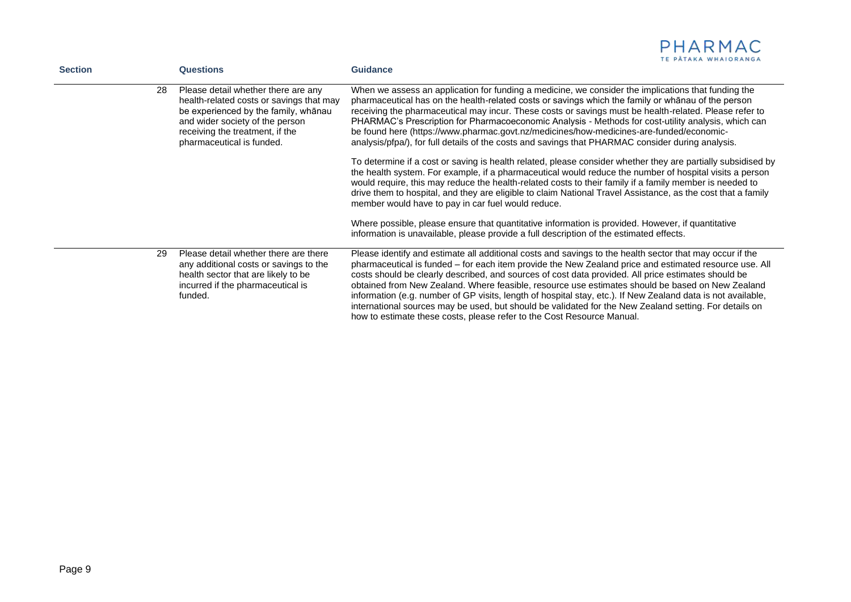| <b>Section</b> |    | <b>Questions</b>                                                                                                                                                                                                           | TE PATAKA WHAIORANGA<br><b>Guidance</b>                                                                                                                                                                                                                                                                                                                                                                                                                                                                                                                                                                                                                                                                                           |
|----------------|----|----------------------------------------------------------------------------------------------------------------------------------------------------------------------------------------------------------------------------|-----------------------------------------------------------------------------------------------------------------------------------------------------------------------------------------------------------------------------------------------------------------------------------------------------------------------------------------------------------------------------------------------------------------------------------------------------------------------------------------------------------------------------------------------------------------------------------------------------------------------------------------------------------------------------------------------------------------------------------|
|                | 28 | Please detail whether there are any<br>health-related costs or savings that may<br>be experienced by the family, whanau<br>and wider society of the person<br>receiving the treatment, if the<br>pharmaceutical is funded. | When we assess an application for funding a medicine, we consider the implications that funding the<br>pharmaceutical has on the health-related costs or savings which the family or whanau of the person<br>receiving the pharmaceutical may incur. These costs or savings must be health-related. Please refer to<br>PHARMAC's Prescription for Pharmacoeconomic Analysis - Methods for cost-utility analysis, which can<br>be found here (https://www.pharmac.govt.nz/medicines/how-medicines-are-funded/economic-<br>analysis/pfpa/), for full details of the costs and savings that PHARMAC consider during analysis.                                                                                                        |
|                |    |                                                                                                                                                                                                                            | To determine if a cost or saving is health related, please consider whether they are partially subsidised by<br>the health system. For example, if a pharmaceutical would reduce the number of hospital visits a person<br>would require, this may reduce the health-related costs to their family if a family member is needed to<br>drive them to hospital, and they are eligible to claim National Travel Assistance, as the cost that a family<br>member would have to pay in car fuel would reduce.                                                                                                                                                                                                                          |
|                |    |                                                                                                                                                                                                                            | Where possible, please ensure that quantitative information is provided. However, if quantitative<br>information is unavailable, please provide a full description of the estimated effects.                                                                                                                                                                                                                                                                                                                                                                                                                                                                                                                                      |
|                | 29 | Please detail whether there are there<br>any additional costs or savings to the<br>health sector that are likely to be<br>incurred if the pharmaceutical is<br>funded.                                                     | Please identify and estimate all additional costs and savings to the health sector that may occur if the<br>pharmaceutical is funded - for each item provide the New Zealand price and estimated resource use. All<br>costs should be clearly described, and sources of cost data provided. All price estimates should be<br>obtained from New Zealand. Where feasible, resource use estimates should be based on New Zealand<br>information (e.g. number of GP visits, length of hospital stay, etc.). If New Zealand data is not available,<br>international sources may be used, but should be validated for the New Zealand setting. For details on<br>how to estimate these costs, please refer to the Cost Resource Manual. |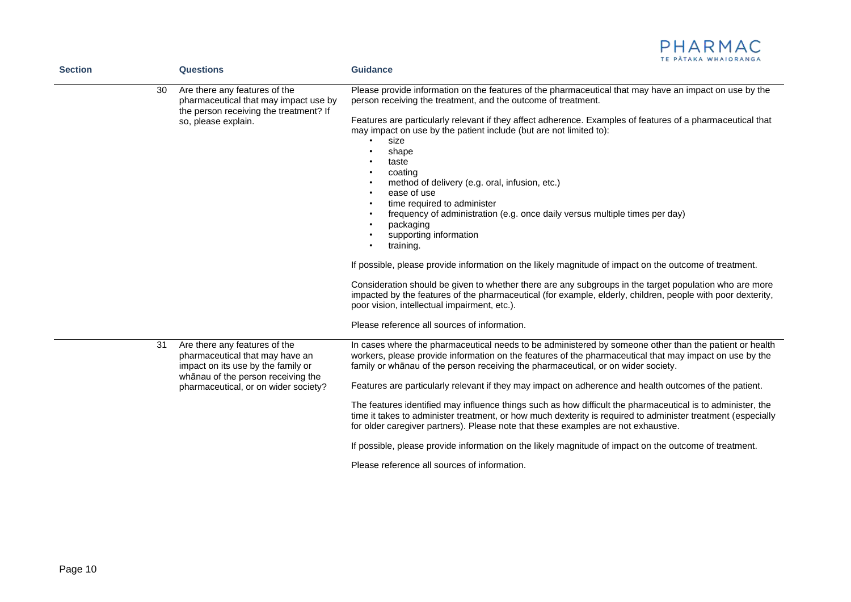|                |    |                                                                                                                                                                                      | IE PAIAKA WHAIOKANGA                                                                                                                                                                                                                                                                                                                                                                                                                                                                                                                                                                                                                                                                                                                                                                                                                                                                                                                                                                                                                                                                                                       |
|----------------|----|--------------------------------------------------------------------------------------------------------------------------------------------------------------------------------------|----------------------------------------------------------------------------------------------------------------------------------------------------------------------------------------------------------------------------------------------------------------------------------------------------------------------------------------------------------------------------------------------------------------------------------------------------------------------------------------------------------------------------------------------------------------------------------------------------------------------------------------------------------------------------------------------------------------------------------------------------------------------------------------------------------------------------------------------------------------------------------------------------------------------------------------------------------------------------------------------------------------------------------------------------------------------------------------------------------------------------|
| <b>Section</b> |    | <b>Questions</b>                                                                                                                                                                     | <b>Guidance</b>                                                                                                                                                                                                                                                                                                                                                                                                                                                                                                                                                                                                                                                                                                                                                                                                                                                                                                                                                                                                                                                                                                            |
|                | 30 | Are there any features of the<br>pharmaceutical that may impact use by<br>the person receiving the treatment? If<br>so, please explain.                                              | Please provide information on the features of the pharmaceutical that may have an impact on use by the<br>person receiving the treatment, and the outcome of treatment.<br>Features are particularly relevant if they affect adherence. Examples of features of a pharmaceutical that<br>may impact on use by the patient include (but are not limited to):<br>size<br>shape<br>taste<br>coating<br>method of delivery (e.g. oral, infusion, etc.)<br>$\bullet$<br>ease of use<br>$\bullet$<br>time required to administer<br>$\bullet$<br>frequency of administration (e.g. once daily versus multiple times per day)<br>$\bullet$<br>packaging<br>supporting information<br>training.<br>If possible, please provide information on the likely magnitude of impact on the outcome of treatment.<br>Consideration should be given to whether there are any subgroups in the target population who are more<br>impacted by the features of the pharmaceutical (for example, elderly, children, people with poor dexterity,<br>poor vision, intellectual impairment, etc.).<br>Please reference all sources of information. |
|                | 31 | Are there any features of the<br>pharmaceutical that may have an<br>impact on its use by the family or<br>whānau of the person receiving the<br>pharmaceutical, or on wider society? | In cases where the pharmaceutical needs to be administered by someone other than the patient or health<br>workers, please provide information on the features of the pharmaceutical that may impact on use by the<br>family or whanau of the person receiving the pharmaceutical, or on wider society.<br>Features are particularly relevant if they may impact on adherence and health outcomes of the patient.<br>The features identified may influence things such as how difficult the pharmaceutical is to administer, the<br>time it takes to administer treatment, or how much dexterity is required to administer treatment (especially<br>for older caregiver partners). Please note that these examples are not exhaustive.<br>If possible, please provide information on the likely magnitude of impact on the outcome of treatment.                                                                                                                                                                                                                                                                            |
|                |    |                                                                                                                                                                                      | Please reference all sources of information.                                                                                                                                                                                                                                                                                                                                                                                                                                                                                                                                                                                                                                                                                                                                                                                                                                                                                                                                                                                                                                                                               |
|                |    |                                                                                                                                                                                      |                                                                                                                                                                                                                                                                                                                                                                                                                                                                                                                                                                                                                                                                                                                                                                                                                                                                                                                                                                                                                                                                                                                            |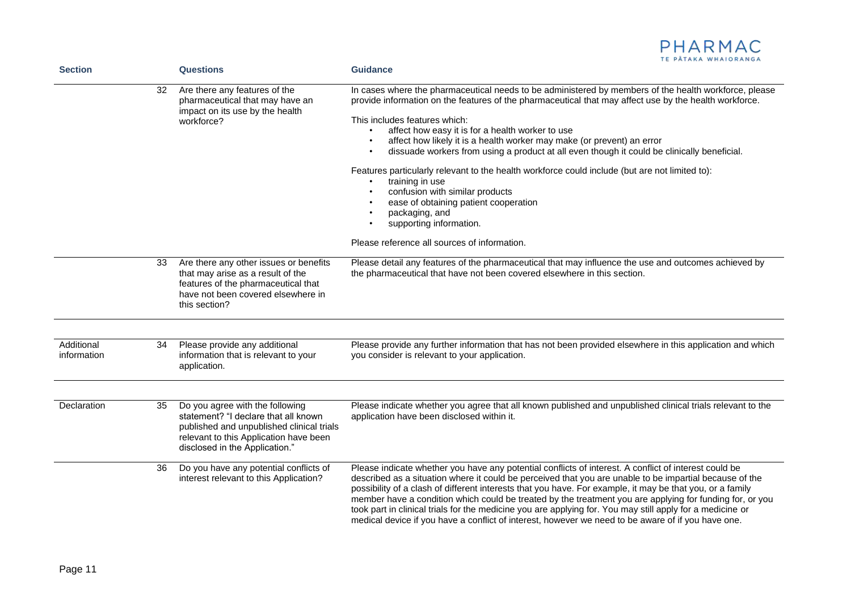

| <b>Section</b>            |    | <b>Questions</b>                                                                                                                                                                                 | <b>Guidance</b>                                                                                                                                                                                                                                                                                                                                                                                                                                                                                                                                                                                                                                                                                                                                                                                            |  |
|---------------------------|----|--------------------------------------------------------------------------------------------------------------------------------------------------------------------------------------------------|------------------------------------------------------------------------------------------------------------------------------------------------------------------------------------------------------------------------------------------------------------------------------------------------------------------------------------------------------------------------------------------------------------------------------------------------------------------------------------------------------------------------------------------------------------------------------------------------------------------------------------------------------------------------------------------------------------------------------------------------------------------------------------------------------------|--|
|                           | 32 | Are there any features of the<br>pharmaceutical that may have an<br>impact on its use by the health<br>workforce?                                                                                | In cases where the pharmaceutical needs to be administered by members of the health workforce, please<br>provide information on the features of the pharmaceutical that may affect use by the health workforce.<br>This includes features which:<br>affect how easy it is for a health worker to use<br>$\bullet$<br>affect how likely it is a health worker may make (or prevent) an error<br>$\bullet$<br>dissuade workers from using a product at all even though it could be clinically beneficial.<br>٠<br>Features particularly relevant to the health workforce could include (but are not limited to):<br>training in use<br>confusion with similar products<br>ease of obtaining patient cooperation<br>packaging, and<br>supporting information.<br>Please reference all sources of information. |  |
|                           | 33 | Are there any other issues or benefits<br>that may arise as a result of the<br>features of the pharmaceutical that<br>have not been covered elsewhere in<br>this section?                        | Please detail any features of the pharmaceutical that may influence the use and outcomes achieved by<br>the pharmaceutical that have not been covered elsewhere in this section.                                                                                                                                                                                                                                                                                                                                                                                                                                                                                                                                                                                                                           |  |
| Additional<br>information | 34 | Please provide any additional<br>information that is relevant to your<br>application.                                                                                                            | Please provide any further information that has not been provided elsewhere in this application and which<br>you consider is relevant to your application.                                                                                                                                                                                                                                                                                                                                                                                                                                                                                                                                                                                                                                                 |  |
| Declaration               | 35 | Do you agree with the following<br>statement? "I declare that all known<br>published and unpublished clinical trials<br>relevant to this Application have been<br>disclosed in the Application." | Please indicate whether you agree that all known published and unpublished clinical trials relevant to the<br>application have been disclosed within it.                                                                                                                                                                                                                                                                                                                                                                                                                                                                                                                                                                                                                                                   |  |
|                           | 36 | Do you have any potential conflicts of<br>interest relevant to this Application?                                                                                                                 | Please indicate whether you have any potential conflicts of interest. A conflict of interest could be<br>described as a situation where it could be perceived that you are unable to be impartial because of the<br>possibility of a clash of different interests that you have. For example, it may be that you, or a family<br>member have a condition which could be treated by the treatment you are applying for funding for, or you<br>took part in clinical trials for the medicine you are applying for. You may still apply for a medicine or<br>medical device if you have a conflict of interest, however we need to be aware of if you have one.                                                                                                                                               |  |